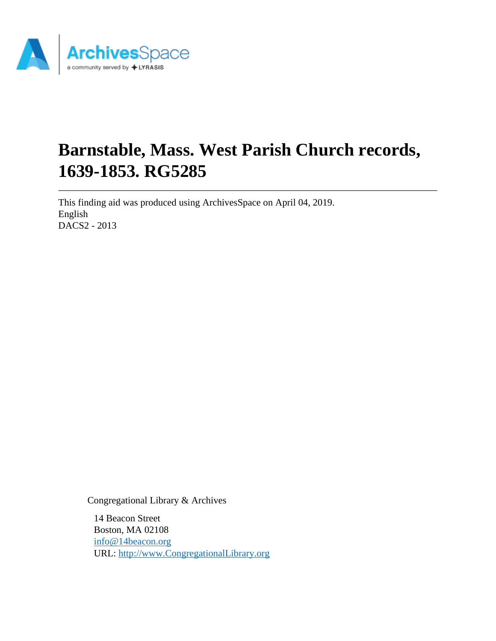

# **Barnstable, Mass. West Parish Church records, 1639-1853. RG5285**

This finding aid was produced using ArchivesSpace on April 04, 2019. English DACS2 - 2013

Congregational Library & Archives

14 Beacon Street Boston, MA 02108 [info@14beacon.org](mailto:info@14beacon.org) URL:<http://www.CongregationalLibrary.org>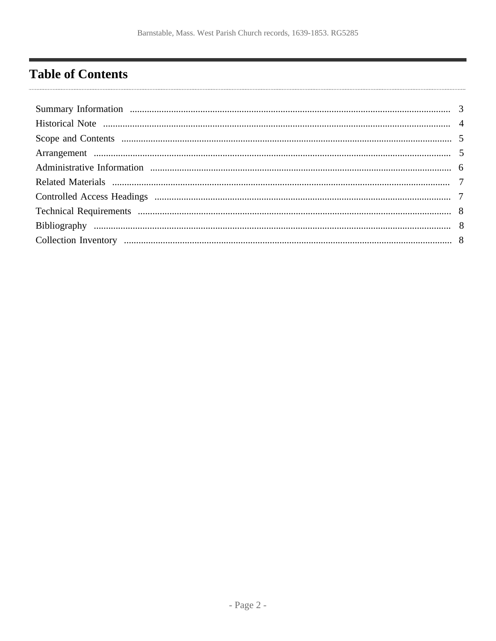# <span id="page-1-0"></span>**Table of Contents**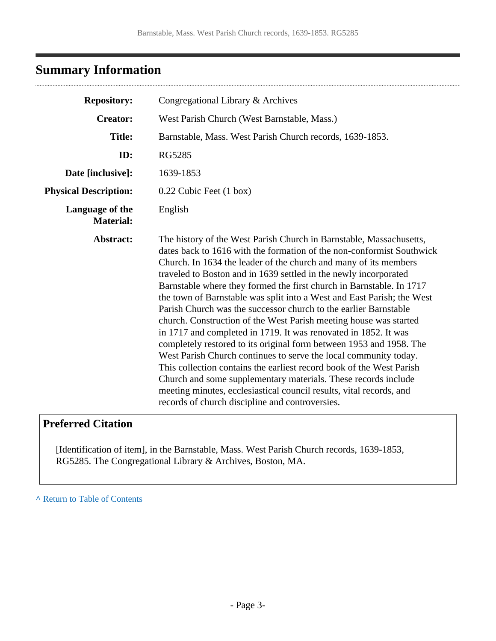## <span id="page-2-0"></span>**Summary Information**

. . . . . . . . . . . . . . . . . .

| <b>Repository:</b>                  | Congregational Library & Archives                                                                                                                                                                                                                                                                                                                                                                                                                                                                                                                                                                                                                                                                                                                                                                                                                                                                                                                                                                                                                                 |
|-------------------------------------|-------------------------------------------------------------------------------------------------------------------------------------------------------------------------------------------------------------------------------------------------------------------------------------------------------------------------------------------------------------------------------------------------------------------------------------------------------------------------------------------------------------------------------------------------------------------------------------------------------------------------------------------------------------------------------------------------------------------------------------------------------------------------------------------------------------------------------------------------------------------------------------------------------------------------------------------------------------------------------------------------------------------------------------------------------------------|
| <b>Creator:</b>                     | West Parish Church (West Barnstable, Mass.)                                                                                                                                                                                                                                                                                                                                                                                                                                                                                                                                                                                                                                                                                                                                                                                                                                                                                                                                                                                                                       |
| <b>Title:</b>                       | Barnstable, Mass. West Parish Church records, 1639-1853.                                                                                                                                                                                                                                                                                                                                                                                                                                                                                                                                                                                                                                                                                                                                                                                                                                                                                                                                                                                                          |
| ID:                                 | <b>RG5285</b>                                                                                                                                                                                                                                                                                                                                                                                                                                                                                                                                                                                                                                                                                                                                                                                                                                                                                                                                                                                                                                                     |
| Date [inclusive]:                   | 1639-1853                                                                                                                                                                                                                                                                                                                                                                                                                                                                                                                                                                                                                                                                                                                                                                                                                                                                                                                                                                                                                                                         |
| <b>Physical Description:</b>        | 0.22 Cubic Feet (1 box)                                                                                                                                                                                                                                                                                                                                                                                                                                                                                                                                                                                                                                                                                                                                                                                                                                                                                                                                                                                                                                           |
| Language of the<br><b>Material:</b> | English                                                                                                                                                                                                                                                                                                                                                                                                                                                                                                                                                                                                                                                                                                                                                                                                                                                                                                                                                                                                                                                           |
| Abstract:                           | The history of the West Parish Church in Barnstable, Massachusetts,<br>dates back to 1616 with the formation of the non-conformist Southwick<br>Church. In 1634 the leader of the church and many of its members<br>traveled to Boston and in 1639 settled in the newly incorporated<br>Barnstable where they formed the first church in Barnstable. In 1717<br>the town of Barnstable was split into a West and East Parish; the West<br>Parish Church was the successor church to the earlier Barnstable<br>church. Construction of the West Parish meeting house was started<br>in 1717 and completed in 1719. It was renovated in 1852. It was<br>completely restored to its original form between 1953 and 1958. The<br>West Parish Church continues to serve the local community today.<br>This collection contains the earliest record book of the West Parish<br>Church and some supplementary materials. These records include<br>meeting minutes, ecclesiastical council results, vital records, and<br>records of church discipline and controversies. |

### **Preferred Citation**

[Identification of item], in the Barnstable, Mass. West Parish Church records, 1639-1853, RG5285. The Congregational Library & Archives, Boston, MA.

**^** [Return to Table of Contents](#page-1-0)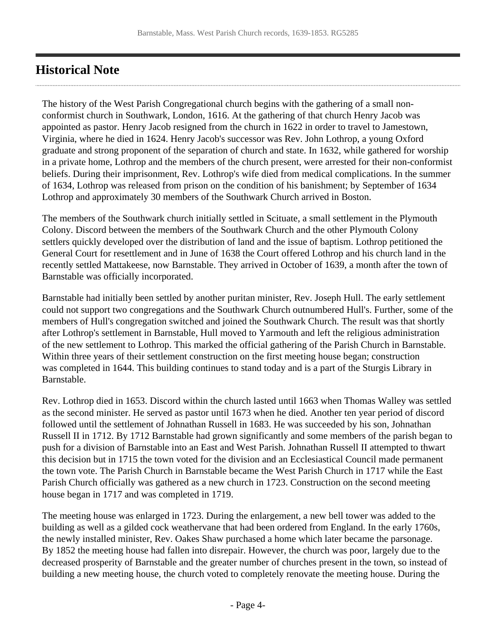### <span id="page-3-0"></span>**Historical Note**

The history of the West Parish Congregational church begins with the gathering of a small nonconformist church in Southwark, London, 1616. At the gathering of that church Henry Jacob was appointed as pastor. Henry Jacob resigned from the church in 1622 in order to travel to Jamestown, Virginia, where he died in 1624. Henry Jacob's successor was Rev. John Lothrop, a young Oxford graduate and strong proponent of the separation of church and state. In 1632, while gathered for worship in a private home, Lothrop and the members of the church present, were arrested for their non-conformist beliefs. During their imprisonment, Rev. Lothrop's wife died from medical complications. In the summer of 1634, Lothrop was released from prison on the condition of his banishment; by September of 1634 Lothrop and approximately 30 members of the Southwark Church arrived in Boston.

The members of the Southwark church initially settled in Scituate, a small settlement in the Plymouth Colony. Discord between the members of the Southwark Church and the other Plymouth Colony settlers quickly developed over the distribution of land and the issue of baptism. Lothrop petitioned the General Court for resettlement and in June of 1638 the Court offered Lothrop and his church land in the recently settled Mattakeese, now Barnstable. They arrived in October of 1639, a month after the town of Barnstable was officially incorporated.

Barnstable had initially been settled by another puritan minister, Rev. Joseph Hull. The early settlement could not support two congregations and the Southwark Church outnumbered Hull's. Further, some of the members of Hull's congregation switched and joined the Southwark Church. The result was that shortly after Lothrop's settlement in Barnstable, Hull moved to Yarmouth and left the religious administration of the new settlement to Lothrop. This marked the official gathering of the Parish Church in Barnstable. Within three years of their settlement construction on the first meeting house began; construction was completed in 1644. This building continues to stand today and is a part of the Sturgis Library in Barnstable.

Rev. Lothrop died in 1653. Discord within the church lasted until 1663 when Thomas Walley was settled as the second minister. He served as pastor until 1673 when he died. Another ten year period of discord followed until the settlement of Johnathan Russell in 1683. He was succeeded by his son, Johnathan Russell II in 1712. By 1712 Barnstable had grown significantly and some members of the parish began to push for a division of Barnstable into an East and West Parish. Johnathan Russell II attempted to thwart this decision but in 1715 the town voted for the division and an Ecclesiastical Council made permanent the town vote. The Parish Church in Barnstable became the West Parish Church in 1717 while the East Parish Church officially was gathered as a new church in 1723. Construction on the second meeting house began in 1717 and was completed in 1719.

The meeting house was enlarged in 1723. During the enlargement, a new bell tower was added to the building as well as a gilded cock weathervane that had been ordered from England. In the early 1760s, the newly installed minister, Rev. Oakes Shaw purchased a home which later became the parsonage. By 1852 the meeting house had fallen into disrepair. However, the church was poor, largely due to the decreased prosperity of Barnstable and the greater number of churches present in the town, so instead of building a new meeting house, the church voted to completely renovate the meeting house. During the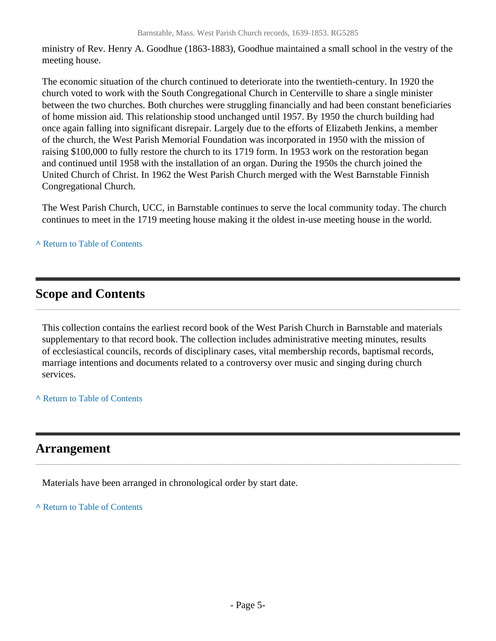ministry of Rev. Henry A. Goodhue (1863-1883), Goodhue maintained a small school in the vestry of the meeting house.

The economic situation of the church continued to deteriorate into the twentieth-century. In 1920 the church voted to work with the South Congregational Church in Centerville to share a single minister between the two churches. Both churches were struggling financially and had been constant beneficiaries of home mission aid. This relationship stood unchanged until 1957. By 1950 the church building had once again falling into significant disrepair. Largely due to the efforts of Elizabeth Jenkins, a member of the church, the West Parish Memorial Foundation was incorporated in 1950 with the mission of raising \$100,000 to fully restore the church to its 1719 form. In 1953 work on the restoration began and continued until 1958 with the installation of an organ. During the 1950s the church joined the United Church of Christ. In 1962 the West Parish Church merged with the West Barnstable Finnish Congregational Church.

The West Parish Church, UCC, in Barnstable continues to serve the local community today. The church continues to meet in the 1719 meeting house making it the oldest in-use meeting house in the world.

#### **^** [Return to Table of Contents](#page-1-0)

### <span id="page-4-0"></span>**Scope and Contents**

This collection contains the earliest record book of the West Parish Church in Barnstable and materials supplementary to that record book. The collection includes administrative meeting minutes, results of ecclesiastical councils, records of disciplinary cases, vital membership records, baptismal records, marriage intentions and documents related to a controversy over music and singing during church services.

**^** [Return to Table of Contents](#page-1-0)

### <span id="page-4-1"></span>**Arrangement**

Materials have been arranged in chronological order by start date.

**^** [Return to Table of Contents](#page-1-0)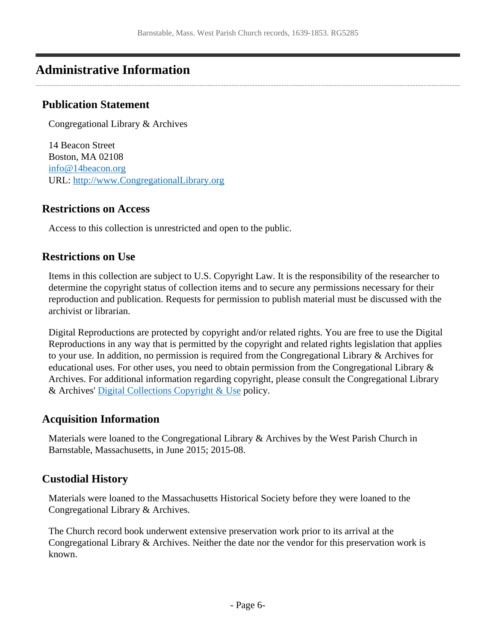### <span id="page-5-0"></span>**Administrative Information**

#### **Publication Statement**

Congregational Library & Archives

14 Beacon Street Boston, MA 02108 [info@14beacon.org](mailto:info@14beacon.org) URL:<http://www.CongregationalLibrary.org>

#### **Restrictions on Access**

Access to this collection is unrestricted and open to the public.

#### **Restrictions on Use**

Items in this collection are subject to U.S. Copyright Law. It is the responsibility of the researcher to determine the copyright status of collection items and to secure any permissions necessary for their reproduction and publication. Requests for permission to publish material must be discussed with the archivist or librarian.

Digital Reproductions are protected by copyright and/or related rights. You are free to use the Digital Reproductions in any way that is permitted by the copyright and related rights legislation that applies to your use. In addition, no permission is required from the Congregational Library & Archives for educational uses. For other uses, you need to obtain permission from the Congregational Library & Archives. For additional information regarding copyright, please consult the Congregational Library & Archives' [Digital Collections Copyright & Use](http://www.congregationallibrary.org/about/digital-copyright) policy.

#### **Acquisition Information**

Materials were loaned to the Congregational Library & Archives by the West Parish Church in Barnstable, Massachusetts, in June 2015; 2015-08.

#### **Custodial History**

Materials were loaned to the Massachusetts Historical Society before they were loaned to the Congregational Library & Archives.

The Church record book underwent extensive preservation work prior to its arrival at the Congregational Library & Archives. Neither the date nor the vendor for this preservation work is known.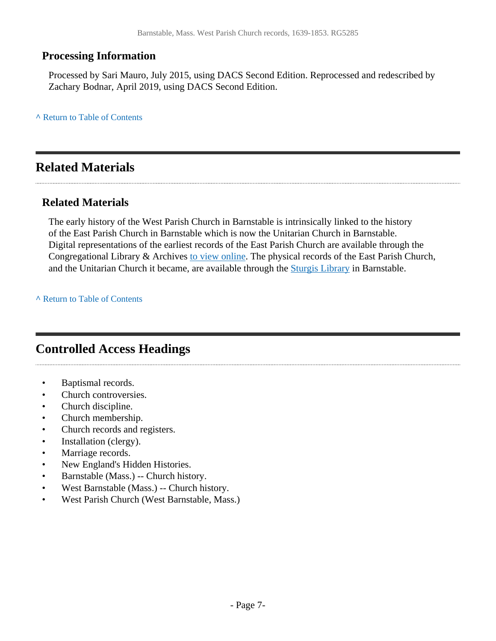#### **Processing Information**

Processed by Sari Mauro, July 2015, using DACS Second Edition. Reprocessed and redescribed by Zachary Bodnar, April 2019, using DACS Second Edition.

**^** [Return to Table of Contents](#page-1-0)

### <span id="page-6-0"></span>**Related Materials**

#### **Related Materials**

The early history of the West Parish Church in Barnstable is intrinsically linked to the history of the East Parish Church in Barnstable which is now the Unitarian Church in Barnstable. Digital representations of the earliest records of the East Parish Church are available through the Congregational Library & Archives [to view online](http://www.congregationallibrary.org/nehh/series1/BarnstableMAEast5158). The physical records of the East Parish Church, and the Unitarian Church it became, are available through the [Sturgis Library](http://www.sturgislibrary.org) in Barnstable.

**^** [Return to Table of Contents](#page-1-0)

### <span id="page-6-1"></span>**Controlled Access Headings**

- Baptismal records.
- Church controversies.
- Church discipline.
- Church membership.
- Church records and registers.
- Installation (clergy).
- Marriage records.
- New England's Hidden Histories.
- Barnstable (Mass.) -- Church history.
- West Barnstable (Mass.) -- Church history.
- West Parish Church (West Barnstable, Mass.)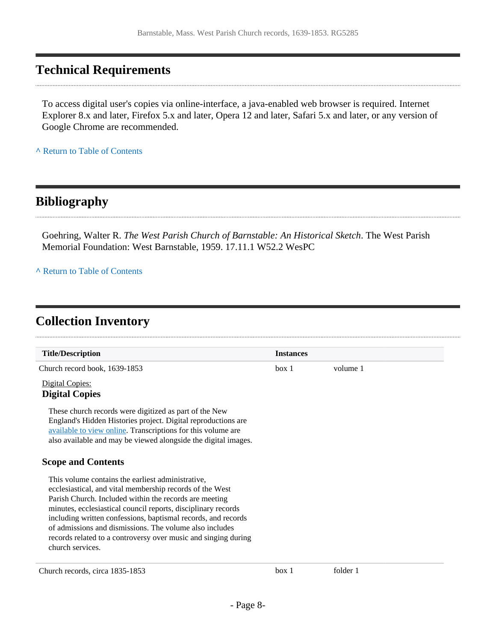### <span id="page-7-0"></span>**Technical Requirements**

To access digital user's copies via online-interface, a java-enabled web browser is required. Internet Explorer 8.x and later, Firefox 5.x and later, Opera 12 and later, Safari 5.x and later, or any version of Google Chrome are recommended.

**^** [Return to Table of Contents](#page-1-0)

### <span id="page-7-1"></span>**Bibliography**

Goehring, Walter R. *The West Parish Church of Barnstable: An Historical Sketch*. The West Parish Memorial Foundation: West Barnstable, 1959. 17.11.1 W52.2 WesPC

#### **^** [Return to Table of Contents](#page-1-0)

### <span id="page-7-2"></span>**Collection Inventory**

| <b>Title/Description</b>                                                                                                                                                                                                                                  | <b>Instances</b> |          |  |
|-----------------------------------------------------------------------------------------------------------------------------------------------------------------------------------------------------------------------------------------------------------|------------------|----------|--|
| Church record book, 1639-1853                                                                                                                                                                                                                             | box 1            | volume 1 |  |
| Digital Copies:<br><b>Digital Copies</b>                                                                                                                                                                                                                  |                  |          |  |
| These church records were digitized as part of the New<br>England's Hidden Histories project. Digital reproductions are<br>available to view online. Transcriptions for this volume are<br>also available and may be viewed alongside the digital images. |                  |          |  |
| <b>Scope and Contents</b>                                                                                                                                                                                                                                 |                  |          |  |
| This volume contains the earliest administrative,<br>ecclesiastical, and vital membership records of the West                                                                                                                                             |                  |          |  |
| Parish Church. Included within the records are meeting                                                                                                                                                                                                    |                  |          |  |
| minutes, ecclesiastical council reports, disciplinary records                                                                                                                                                                                             |                  |          |  |
| including written confessions, baptismal records, and records<br>of admissions and dismissions. The volume also includes                                                                                                                                  |                  |          |  |
| records related to a controversy over music and singing during                                                                                                                                                                                            |                  |          |  |
| church services.                                                                                                                                                                                                                                          |                  |          |  |